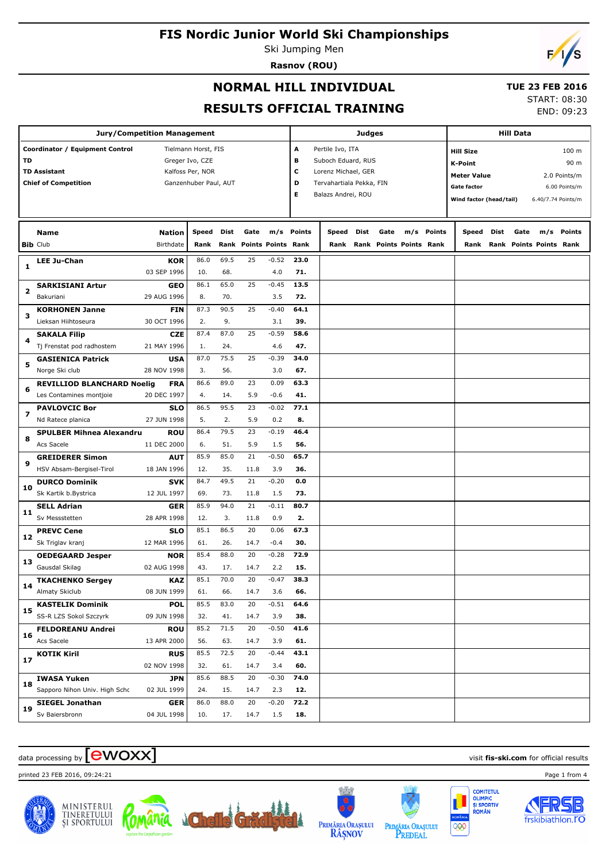Ski Jumping Men **Rasnov (ROU)**



#### **NORMAL HILL INDIVIDUAL**

**m/s Points**

**Jury/Competition Management**

**Nation Speed Dist Gate**

**Coordinator / Equipment Control Tielmann Horst, FIS TD** Greger Ivo, CZE TD Assistant **TD Assistant Kalfoss Per, NOR Chief of Competition** Ganzenhuber Paul, AUT

**Name**

#### **TUE 23 FEB 2016**

**RESULTS OFF** 

|               |                          |               |                                |  |                                               | START: 08:30                               |
|---------------|--------------------------|---------------|--------------------------------|--|-----------------------------------------------|--------------------------------------------|
|               | FICIAL TRAINING          |               |                                |  |                                               | END: 09:23                                 |
|               |                          | <b>Judges</b> |                                |  |                                               | <b>Hill Data</b>                           |
| A             | Pertile Ivo, ITA         |               |                                |  |                                               | 100 m<br><b>Hill Size</b>                  |
| в             | Suboch Eduard, RUS       |               |                                |  | 90 <sub>m</sub><br><b>K-Point</b>             |                                            |
| с             | Lorenz Michael, GER      |               |                                |  | <b>Meter Value</b><br>2.0 Points/m            |                                            |
| D             | Tervahartiala Pekka, FIN |               |                                |  | <b>Gate factor</b><br>6.00 Points/m           |                                            |
| Е             | Balazs Andrei, ROU       |               |                                |  | Wind factor (head/tail)<br>6.40/7.74 Points/m |                                            |
|               |                          |               |                                |  |                                               |                                            |
| <b>Points</b> | Speed                    | Dist          | Gate                           |  | m/s Points                                    | Dist<br><b>Speed</b><br>Gate<br>m/s Points |
| Rank          | Rank                     |               | <b>Rank Points Points Rank</b> |  |                                               | <b>Rank Points Points Rank</b><br>Rank     |
| 23.0          |                          |               |                                |  |                                               |                                            |
| 71.           |                          |               |                                |  |                                               |                                            |
| 13.5          |                          |               |                                |  |                                               |                                            |
| 72.           |                          |               |                                |  |                                               |                                            |
| 64.1          |                          |               |                                |  |                                               |                                            |
| 39.           |                          |               |                                |  |                                               |                                            |
|               |                          |               |                                |  |                                               |                                            |

|                | <b>Bib</b> Club                   | Birthdate   | Rank |      | Rank Points Points Rank |         |      | Rank | Rank Points Points Rank | Rank | Rank Points Points Rank |  |
|----------------|-----------------------------------|-------------|------|------|-------------------------|---------|------|------|-------------------------|------|-------------------------|--|
|                | <b>LEE Ju-Chan</b>                | <b>KOR</b>  | 86.0 | 69.5 | 25                      | $-0.52$ | 23.0 |      |                         |      |                         |  |
| 1              |                                   | 03 SEP 1996 | 10.  | 68.  |                         | 4.0     | 71.  |      |                         |      |                         |  |
|                | <b>SARKISIANI Artur</b>           | <b>GEO</b>  | 86.1 | 65.0 | 25                      | $-0.45$ | 13.5 |      |                         |      |                         |  |
| $\overline{2}$ | Bakuriani                         | 29 AUG 1996 | 8.   | 70.  |                         | 3.5     | 72.  |      |                         |      |                         |  |
| з              | <b>KORHONEN Janne</b>             | <b>FIN</b>  | 87.3 | 90.5 | 25                      | $-0.40$ | 64.1 |      |                         |      |                         |  |
|                | Lieksan Hiihtoseura               | 30 OCT 1996 | 2.   | 9.   |                         | 3.1     | 39.  |      |                         |      |                         |  |
| 4              | <b>SAKALA Filip</b>               | <b>CZE</b>  | 87.4 | 87.0 | 25                      | $-0.59$ | 58.6 |      |                         |      |                         |  |
|                | Tj Frenstat pod radhostem         | 21 MAY 1996 | 1.   | 24.  |                         | 4.6     | 47.  |      |                         |      |                         |  |
| 5              | <b>GASIENICA Patrick</b>          | <b>USA</b>  | 87.0 | 75.5 | 25                      | $-0.39$ | 34.0 |      |                         |      |                         |  |
|                | Norge Ski club                    | 28 NOV 1998 | 3.   | 56.  |                         | 3.0     | 67.  |      |                         |      |                         |  |
| 6              | <b>REVILLIOD BLANCHARD Noelig</b> | <b>FRA</b>  | 86.6 | 89.0 | 23                      | 0.09    | 63.3 |      |                         |      |                         |  |
|                | Les Contamines montjoie           | 20 DEC 1997 | 4.   | 14.  | 5.9                     | $-0.6$  | 41.  |      |                         |      |                         |  |
| 7              | <b>PAVLOVCIC Bor</b>              | <b>SLO</b>  | 86.5 | 95.5 | 23                      | $-0.02$ | 77.1 |      |                         |      |                         |  |
|                | Nd Ratece planica                 | 27 JUN 1998 | 5.   | 2.   | 5.9                     | 0.2     | 8.   |      |                         |      |                         |  |
| 8              | <b>SPULBER Mihnea Alexandru</b>   | <b>ROU</b>  | 86.4 | 79.5 | 23                      | $-0.19$ | 46.4 |      |                         |      |                         |  |
|                | Acs Sacele                        | 11 DEC 2000 | 6.   | 51.  | 5.9                     | 1.5     | 56.  |      |                         |      |                         |  |
| 9              | <b>GREIDERER Simon</b>            | <b>AUT</b>  | 85.9 | 85.0 | 21                      | $-0.50$ | 65.7 |      |                         |      |                         |  |
|                | HSV Absam-Bergisel-Tirol          | 18 JAN 1996 | 12.  | 35.  | 11.8                    | 3.9     | 36.  |      |                         |      |                         |  |
| 10             | <b>DURCO Dominik</b>              | <b>SVK</b>  | 84.7 | 49.5 | 21                      | $-0.20$ | 0.0  |      |                         |      |                         |  |
|                | Sk Kartik b.Bystrica              | 12 JUL 1997 | 69.  | 73.  | 11.8                    | 1.5     | 73.  |      |                         |      |                         |  |
| 11             | <b>SELL Adrian</b>                | <b>GER</b>  | 85.9 | 94.0 | 21                      | $-0.11$ | 80.7 |      |                         |      |                         |  |
|                | Sv Messstetten                    | 28 APR 1998 | 12.  | 3.   | 11.8                    | 0.9     | 2.   |      |                         |      |                         |  |
| 12             | <b>PREVC Cene</b>                 | <b>SLO</b>  | 85.1 | 86.5 | 20                      | 0.06    | 67.3 |      |                         |      |                         |  |
|                | Sk Triglav kranj                  | 12 MAR 1996 | 61.  | 26.  | 14.7                    | $-0.4$  | 30.  |      |                         |      |                         |  |
| 13             | <b>OEDEGAARD Jesper</b>           | <b>NOR</b>  | 85.4 | 88.0 | 20                      | $-0.28$ | 72.9 |      |                         |      |                         |  |
|                | Gausdal Skilag                    | 02 AUG 1998 | 43.  | 17.  | 14.7                    | 2.2     | 15.  |      |                         |      |                         |  |
| 14             | <b>TKACHENKO Sergey</b>           | <b>KAZ</b>  | 85.1 | 70.0 | 20                      | $-0.47$ | 38.3 |      |                         |      |                         |  |
|                | Almaty Skiclub                    | 08 JUN 1999 | 61.  | 66.  | 14.7                    | 3.6     | 66.  |      |                         |      |                         |  |
| 15             | <b>KASTELIK Dominik</b>           | <b>POL</b>  | 85.5 | 83.0 | 20                      | $-0.51$ | 64.6 |      |                         |      |                         |  |
|                | SS-R LZS Sokol Szczyrk            | 09 JUN 1998 | 32.  | 41.  | 14.7                    | 3.9     | 38.  |      |                         |      |                         |  |
| 16             | <b>FELDOREANU Andrei</b>          | <b>ROU</b>  | 85.2 | 71.5 | 20                      | $-0.50$ | 41.6 |      |                         |      |                         |  |
|                | Acs Sacele                        | 13 APR 2000 | 56.  | 63.  | 14.7                    | 3.9     | 61.  |      |                         |      |                         |  |
| 17             | <b>KOTIK Kiril</b>                | <b>RUS</b>  | 85.5 | 72.5 | 20                      | $-0.44$ | 43.1 |      |                         |      |                         |  |
|                |                                   | 02 NOV 1998 | 32.  | 61.  | 14.7                    | 3.4     | 60.  |      |                         |      |                         |  |
| 18             | <b>IWASA Yuken</b>                | <b>JPN</b>  | 85.6 | 88.5 | 20                      | $-0.30$ | 74.0 |      |                         |      |                         |  |
|                | Sapporo Nihon Univ. High Schc     | 02 JUL 1999 | 24.  | 15.  | 14.7                    | 2.3     | 12.  |      |                         |      |                         |  |
| 19             | <b>SIEGEL Jonathan</b>            | <b>GER</b>  | 86.0 | 88.0 | 20                      | $-0.20$ | 72.2 |      |                         |      |                         |  |
|                | Sv Baiersbronn                    | 04 JUL 1998 | 10.  | 17.  | 14.7                    | 1.5     | 18.  |      |                         |      |                         |  |

## $\alpha$  data processing by  $\boxed{\text{ewOX}}$

printed 23 FEB 2016, 09:24:21 Page 1 from 4













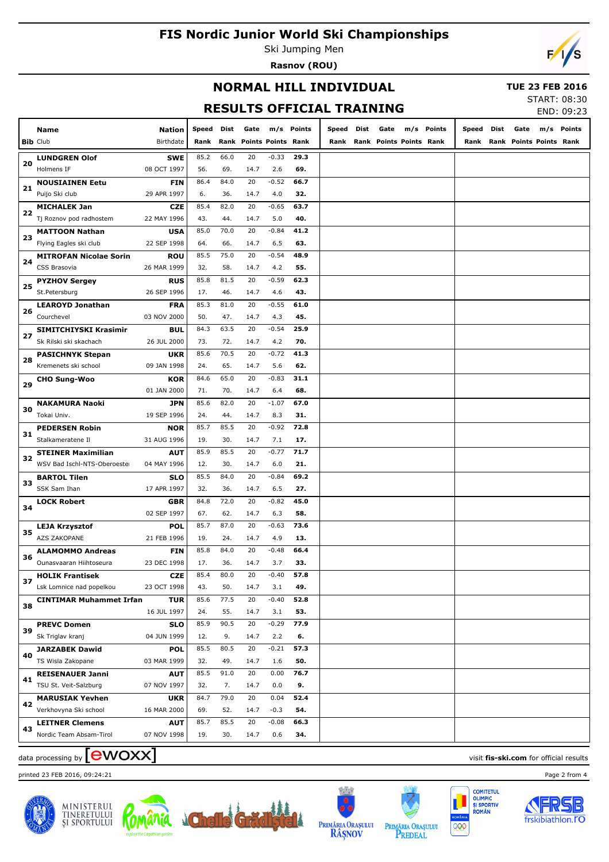Ski Jumping Men **Rasnov (ROU)**



#### **NORMAL HILL INDIVIDUAL**

#### **TUE 23 FEB 2016**  $TAT. 00.30$

**RESULTS OFFICIAL TRAI** 

**m/s Points**

|  | . TRAINING                                                 |  |  |                                                            | 51AR1: 08:30<br>END: 09:23 |  |
|--|------------------------------------------------------------|--|--|------------------------------------------------------------|----------------------------|--|
|  | Speed Dist Gate m/s Points<br>Rank Rank Points Points Rank |  |  | Speed Dist Gate m/s Points<br>Rank Rank Points Points Rank |                            |  |
|  |                                                            |  |  |                                                            |                            |  |
|  |                                                            |  |  |                                                            |                            |  |

|      | <b>LUNDGREN Olof</b>           | <b>SWE</b>  | 85.2 | 66.0 | 20   | $-0.33$ | 29.3 |  |
|------|--------------------------------|-------------|------|------|------|---------|------|--|
| 20   | Holmens IF                     | 08 OCT 1997 | 56.  | 69.  | 14.7 | 2.6     | 69.  |  |
|      | <b>NOUSIAINEN Eetu</b>         | <b>FIN</b>  | 86.4 | 84.0 | 20   | $-0.52$ | 66.7 |  |
| $21$ | Puijo Ski club                 | 29 APR 1997 | 6.   | 36.  | 14.7 | 4.0     | 32.  |  |
|      | <b>MICHALEK Jan</b>            | <b>CZE</b>  | 85.4 | 82.0 | 20   | $-0.65$ | 63.7 |  |
| 22   | Tj Roznov pod radhostem        | 22 MAY 1996 | 43.  | 44.  | 14.7 | 5.0     | 40.  |  |
| 23   | <b>MATTOON Nathan</b>          | <b>USA</b>  | 85.0 | 70.0 | 20   | $-0.84$ | 41.2 |  |
|      | Flying Eagles ski club         | 22 SEP 1998 | 64.  | 66.  | 14.7 | 6.5     | 63.  |  |
| 24   | <b>MITROFAN Nicolae Sorin</b>  | <b>ROU</b>  | 85.5 | 75.0 | 20   | $-0.54$ | 48.9 |  |
|      | CSS Brasovia                   | 26 MAR 1999 | 32.  | 58.  | 14.7 | 4.2     | 55.  |  |
|      | <b>PYZHOV Sergey</b>           | <b>RUS</b>  | 85.8 | 81.5 | 20   | $-0.59$ | 62.3 |  |
| 25   | St.Petersburg                  | 26 SEP 1996 | 17.  | 46.  | 14.7 | 4.6     | 43.  |  |
|      | <b>LEAROYD Jonathan</b>        | <b>FRA</b>  | 85.3 | 81.0 | 20   | $-0.55$ | 61.0 |  |
| 26   | Courchevel                     | 03 NOV 2000 | 50.  | 47.  | 14.7 | 4.3     | 45.  |  |
|      | SIMITCHIYSKI Krasimir          | <b>BUL</b>  | 84.3 | 63.5 | 20   | $-0.54$ | 25.9 |  |
| 27   | Sk Rilski ski skachach         | 26 JUL 2000 | 73.  | 72.  | 14.7 | 4.2     | 70.  |  |
|      | <b>PASICHNYK Stepan</b>        | <b>UKR</b>  | 85.6 | 70.5 | 20   | $-0.72$ | 41.3 |  |
| 28   | Kremenets ski school           | 09 JAN 1998 | 24.  | 65.  | 14.7 | 5.6     | 62.  |  |
|      | <b>CHO Sung-Woo</b>            | <b>KOR</b>  | 84.6 | 65.0 | 20   | $-0.83$ | 31.1 |  |
| 29   |                                | 01 JAN 2000 | 71.  | 70.  | 14.7 | 6.4     | 68.  |  |
|      | <b>NAKAMURA Naoki</b>          | JPN         | 85.6 | 82.0 | 20   | $-1.07$ | 67.0 |  |
| 30   | Tokai Univ.                    | 19 SEP 1996 | 24.  | 44.  | 14.7 | 8.3     | 31.  |  |
|      | <b>PEDERSEN Robin</b>          | <b>NOR</b>  | 85.7 | 85.5 | 20   | $-0.92$ | 72.8 |  |
| 31   | Stalkameratene Il              | 31 AUG 1996 | 19.  | 30.  | 14.7 | 7.1     | 17.  |  |
|      | <b>STEINER Maximilian</b>      | <b>AUT</b>  | 85.9 | 85.5 | 20   | $-0.77$ | 71.7 |  |
| 32   | WSV Bad Ischl-NTS-Oberoester   | 04 MAY 1996 | 12.  | 30.  | 14.7 | 6.0     | 21.  |  |
|      | <b>BARTOL Tilen</b>            | <b>SLO</b>  | 85.5 | 84.0 | 20   | $-0.84$ | 69.2 |  |
| 33   | SSK Sam Ihan                   | 17 APR 1997 | 32.  | 36.  | 14.7 | 6.5     | 27.  |  |
|      | <b>LOCK Robert</b>             | <b>GBR</b>  | 84.8 | 72.0 | 20   | $-0.82$ | 45.0 |  |
| 34   |                                | 02 SEP 1997 | 67.  | 62.  | 14.7 | 6.3     | 58.  |  |
|      | <b>LEJA Krzysztof</b>          | <b>POL</b>  | 85.7 | 87.0 | 20   | $-0.63$ | 73.6 |  |
| 35   | AZS ZAKOPANE                   | 21 FEB 1996 | 19.  | 24.  | 14.7 | 4.9     | 13.  |  |
|      | <b>ALAMOMMO Andreas</b>        | <b>FIN</b>  | 85.8 | 84.0 | 20   | $-0.48$ | 66.4 |  |
| 36   | Ounasvaaran Hiihtoseura        | 23 DEC 1998 | 17.  | 36.  | 14.7 | 3.7     | 33.  |  |
|      | <b>HOLIK Frantisek</b>         | <b>CZE</b>  | 85.4 | 80.0 | 20   | $-0.40$ | 57.8 |  |
| 37   | Lsk Lomnice nad popelkou       | 23 OCT 1998 | 43.  | 50.  | 14.7 | 3.1     | 49.  |  |
|      | <b>CINTIMAR Muhammet Irfan</b> | <b>TUR</b>  | 85.6 | 77.5 | 20   | -0.40   | 52.8 |  |
| 38   |                                | 16 JUL 1997 | 24.  | 55.  | 14.7 | 3.1     | 53.  |  |
|      | <b>PREVC Domen</b>             | <b>SLO</b>  | 85.9 | 90.5 | 20   | $-0.29$ | 77.9 |  |
| 39   | Sk Triglav kranj               | 04 JUN 1999 | 12.  | 9.   | 14.7 | 2.2     | 6.   |  |
|      | <b>JARZABEK Dawid</b>          | <b>POL</b>  | 85.5 | 80.5 | 20   | $-0.21$ | 57.3 |  |
| 40   | TS Wisla Zakopane              | 03 MAR 1999 | 32.  | 49.  | 14.7 | 1.6     | 50.  |  |
|      | <b>REISENAUER Janni</b>        | <b>AUT</b>  | 85.5 | 91.0 | 20   | 0.00    | 76.7 |  |
| 41   | TSU St. Veit-Salzburg          | 07 NOV 1997 | 32.  | 7.   | 14.7 | 0.0     | 9.   |  |
|      | <b>MARUSIAK Yevhen</b>         | <b>UKR</b>  | 84.7 | 79.0 | 20   | 0.04    | 52.4 |  |
| 42   | Verkhovyna Ski school          | 16 MAR 2000 | 69.  | 52.  | 14.7 | $-0.3$  | 54.  |  |
|      | <b>LEITNER Clemens</b>         | <b>AUT</b>  | 85.7 | 85.5 | 20   | $-0.08$ | 66.3 |  |
| 43   | Nordic Team Absam-Tirol        | 07 NOV 1998 | 19.  | 30.  | 14.7 | 0.6     | 34.  |  |
|      |                                |             |      |      |      |         |      |  |

## $\alpha$  data processing by  $\boxed{\text{ewOX}}$

printed 23 FEB 2016, 09:24:21 Page 2 from 4



**Bib** Club **Name**

 $\Gamma$ 

Birthdate

**Nation Speed Dist**

**Rank Rank Points Points Rank Gate**







RÂȘNOV





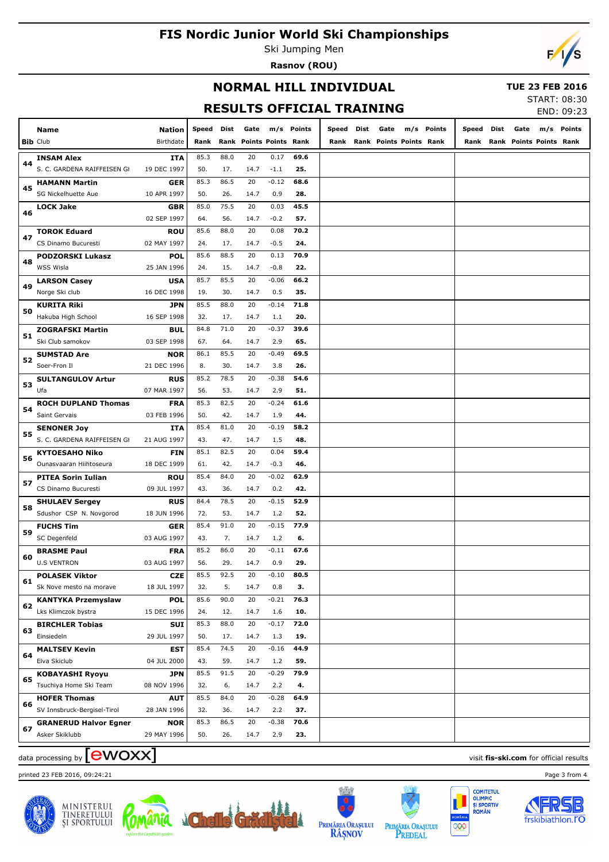Ski Jumping Men **Rasnov (ROU)**



#### **NORMAL HILL INDIVIDUAL**

#### **TUE 23 FEB 2016**

**RESULTS OFFICIAL TRAINING**

| START: 08:30 |                  |
|--------------|------------------|
|              | <b>END</b> 00.32 |

| Dist<br>Gate<br>m/s Points<br>Dist<br>Gate<br>m/s Points<br>Dist<br>Gate<br>Name<br>Nation<br>Speed<br>Speed<br>Speed<br><b>Bib Club</b><br>Birthdate<br>Rank Points Points Rank<br>Rank Points Points Rank<br>Rank Points Points Rank<br>Rank<br>Rank<br>Rank<br>88.0<br>20<br>85.3<br>0.17<br>69.6<br><b>INSAM Alex</b><br><b>ITA</b><br>44<br>S. C. GARDENA RAIFFEISEN GI<br>19 DEC 1997<br>50.<br>17.<br>14.7<br>$-1.1$<br>25.<br>85.3<br>86.5<br>20<br>$-0.12$<br>68.6<br>GER<br><b>HAMANN Martin</b><br>45<br>0.9<br>SG Nickelhuette Aue<br>10 APR 1997<br>50.<br>26.<br>14.7<br>28.<br>85.0<br>75.5<br>20<br>0.03<br>45.5<br><b>LOCK Jake</b><br>GBR<br>46<br>02 SEP 1997<br>64.<br>56.<br>14.7<br>$-0.2$<br>57.<br>70.2<br><b>ROU</b><br>85.6<br>88.0<br>20<br>0.08<br><b>TOROK Eduard</b><br>47<br>CS Dinamo Bucuresti<br>02 MAY 1997<br>24.<br>17.<br>14.7<br>$-0.5$<br>24.<br>POL<br>85.6<br>88.5<br>20<br>0.13<br>70.9<br><b>PODZORSKI Lukasz</b><br>48<br><b>WSS Wisla</b><br>25 JAN 1996<br>24.<br>15.<br>14.7<br>$-0.8$<br>22.<br><b>USA</b><br>85.7<br>85.5<br>20<br>-0.06<br>66.2<br><b>LARSON Casey</b><br>49<br>Norge Ski club<br>16 DEC 1998<br>19.<br>30.<br>14.7<br>0.5<br>35.<br><b>JPN</b><br>85.5<br>88.0<br>20<br>$-0.14$<br>71.8<br><b>KURITA Riki</b><br>50<br>Hakuba High School<br>16 SEP 1998<br>32.<br>17.<br>14.7<br>1.1<br>20.<br><b>BUL</b><br>84.8<br>71.0<br>20<br>$-0.37$<br>39.6<br><b>ZOGRAFSKI Martin</b><br>51<br>Ski Club samokov<br>03 SEP 1998<br>67.<br>64.<br>14.7<br>2.9<br>65.<br>86.1<br>85.5<br>20<br>$-0.49$<br>69.5<br><b>NOR</b><br><b>SUMSTAD Are</b><br>52<br>Soer-Fron Il<br>21 DEC 1996<br>8.<br>30.<br>14.7<br>3.8<br>26.<br><b>RUS</b><br>85.2<br>78.5<br>20<br>$-0.38$<br>54.6<br><b>SULTANGULOV Artur</b><br>53<br>2.9<br>Ufa<br>07 MAR 1997<br>56.<br>53.<br>14.7<br>51.<br>85.3<br>82.5<br>20<br>$-0.24$<br>61.6<br><b>ROCH DUPLAND Thomas</b><br><b>FRA</b><br>54<br>1.9<br>Saint Gervais<br>03 FEB 1996<br>50.<br>42.<br>14.7<br>44.<br>$-0.19$<br>85.4<br>81.0<br>20<br>58.2<br><b>SENONER Joy</b><br>ITA<br>55<br>S. C. GARDENA RAIFFEISEN GI<br>21 AUG 1997<br>43.<br>47.<br>14.7<br>1.5<br>48.<br>85.1<br>82.5<br>20<br>0.04<br>59.4<br><b>KYTOESAHO Niko</b><br>FIN<br>56<br>$-0.3$<br>Ounasvaaran Hiihtoseura<br>18 DEC 1999<br>61.<br>42.<br>14.7<br>46.<br>$-0.02$<br>85.4<br>84.0<br>20<br>62.9<br><b>PITEA Sorin Iulian</b><br><b>ROU</b><br>57<br>0.2<br>42.<br>CS Dinamo Bucuresti<br>09 JUL 1997<br>43.<br>36.<br>14.7<br>$-0.15$<br>52.9<br>84.4<br>78.5<br>20<br><b>RUS</b><br><b>SHULAEV Sergey</b><br>58<br>Sdushor CSP N. Novgorod<br>1.2<br>18 JUN 1996<br>72.<br>53.<br>14.7<br>52.<br>$-0.15$<br>77.9<br>85.4<br>91.0<br>20<br><b>FUCHS Tim</b><br>GER<br>59<br>SC Degenfeld<br>03 AUG 1997<br>43.<br>7.<br>14.7<br>1.2<br>6.<br>85.2<br>86.0<br>20<br>-0.11<br>67.6<br><b>FRA</b><br><b>BRASME Paul</b><br>60<br><b>U.S VENTRON</b><br>03 AUG 1997<br>56.<br>29.<br>14.7<br>0.9<br>29.<br><b>POLASEK Viktor</b><br><b>CZE</b><br>85.5<br>92.5<br>20<br>$-0.10$<br>80.5<br>61<br>Sk Nove mesto na morave<br>18 JUL 1997<br>32.<br>5.<br>0.8<br>З.<br>14.7<br>85.6<br>90.0<br>$-0.21$<br>76.3<br><b>POL</b><br>20<br><b>KANTYKA Przemyslaw</b><br>62<br>Lks Klimczok bystra<br>1.6<br>10.<br>15 DEC 1996<br>24.<br>12.<br>14.7<br>$-0.17$<br>72.0<br>85.3<br>88.0<br>20<br><b>BIRCHLER Tobias</b><br>SUI<br>63<br>Einsiedeln<br>29 JUL 1997<br>50.<br>17.<br>14.7<br>1.3<br>19.<br>74.5<br>$-0.16$<br>44.9<br>85.4<br>20<br><b>EST</b><br><b>MALTSEV Kevin</b><br>64<br>Elva Skiclub<br>04 JUL 2000<br>43.<br>59.<br>14.7<br>1.2<br>59.<br>$-0.29$<br>79.9<br>85.5<br>91.5<br>20<br><b>JPN</b><br><b>KOBAYASHI Ryoyu</b><br>65<br>Tsuchiya Home Ski Team<br>08 NOV 1996<br>32.<br>6.<br>14.7<br>2.2<br>4.<br>$-0.28$<br>85.5<br>84.0<br>20<br>64.9<br><b>HOFER Thomas</b><br><b>AUT</b><br>66<br>SV Innsbruck-Bergisel-Tirol<br>28 JAN 1996<br>32.<br>36.<br>14.7<br>2.2<br>37.<br>85.3<br>86.5<br>20<br>$-0.38$<br>70.6<br><b>GRANERUD Halvor Egner</b><br><b>NOR</b><br>67<br>Asker Skiklubb<br>29 MAY 1996<br>50.<br>26.<br>14.7<br>2.9<br>23. |  |  |  |  |  |  |  |  |  | LIV UJ. ZJ |
|-----------------------------------------------------------------------------------------------------------------------------------------------------------------------------------------------------------------------------------------------------------------------------------------------------------------------------------------------------------------------------------------------------------------------------------------------------------------------------------------------------------------------------------------------------------------------------------------------------------------------------------------------------------------------------------------------------------------------------------------------------------------------------------------------------------------------------------------------------------------------------------------------------------------------------------------------------------------------------------------------------------------------------------------------------------------------------------------------------------------------------------------------------------------------------------------------------------------------------------------------------------------------------------------------------------------------------------------------------------------------------------------------------------------------------------------------------------------------------------------------------------------------------------------------------------------------------------------------------------------------------------------------------------------------------------------------------------------------------------------------------------------------------------------------------------------------------------------------------------------------------------------------------------------------------------------------------------------------------------------------------------------------------------------------------------------------------------------------------------------------------------------------------------------------------------------------------------------------------------------------------------------------------------------------------------------------------------------------------------------------------------------------------------------------------------------------------------------------------------------------------------------------------------------------------------------------------------------------------------------------------------------------------------------------------------------------------------------------------------------------------------------------------------------------------------------------------------------------------------------------------------------------------------------------------------------------------------------------------------------------------------------------------------------------------------------------------------------------------------------------------------------------------------------------------------------------------------------------------------------------------------------------------------------------------------------------------------------------------------------------------------------------------------------------------------------------------------------------------------------------------------------------------------------------------------------------------------------------------------------------------------------------------------------------------------------------------------------------------------------------------------------------------------------------------------------------------------------------------------------------------------------------------------------------------------------------------------------------------------------------------------------------------------------------------------------------------------------------------------------------------------------|--|--|--|--|--|--|--|--|--|------------|
|                                                                                                                                                                                                                                                                                                                                                                                                                                                                                                                                                                                                                                                                                                                                                                                                                                                                                                                                                                                                                                                                                                                                                                                                                                                                                                                                                                                                                                                                                                                                                                                                                                                                                                                                                                                                                                                                                                                                                                                                                                                                                                                                                                                                                                                                                                                                                                                                                                                                                                                                                                                                                                                                                                                                                                                                                                                                                                                                                                                                                                                                                                                                                                                                                                                                                                                                                                                                                                                                                                                                                                                                                                                                                                                                                                                                                                                                                                                                                                                                                                                                                                                                         |  |  |  |  |  |  |  |  |  | m/s Points |
|                                                                                                                                                                                                                                                                                                                                                                                                                                                                                                                                                                                                                                                                                                                                                                                                                                                                                                                                                                                                                                                                                                                                                                                                                                                                                                                                                                                                                                                                                                                                                                                                                                                                                                                                                                                                                                                                                                                                                                                                                                                                                                                                                                                                                                                                                                                                                                                                                                                                                                                                                                                                                                                                                                                                                                                                                                                                                                                                                                                                                                                                                                                                                                                                                                                                                                                                                                                                                                                                                                                                                                                                                                                                                                                                                                                                                                                                                                                                                                                                                                                                                                                                         |  |  |  |  |  |  |  |  |  |            |
|                                                                                                                                                                                                                                                                                                                                                                                                                                                                                                                                                                                                                                                                                                                                                                                                                                                                                                                                                                                                                                                                                                                                                                                                                                                                                                                                                                                                                                                                                                                                                                                                                                                                                                                                                                                                                                                                                                                                                                                                                                                                                                                                                                                                                                                                                                                                                                                                                                                                                                                                                                                                                                                                                                                                                                                                                                                                                                                                                                                                                                                                                                                                                                                                                                                                                                                                                                                                                                                                                                                                                                                                                                                                                                                                                                                                                                                                                                                                                                                                                                                                                                                                         |  |  |  |  |  |  |  |  |  |            |
|                                                                                                                                                                                                                                                                                                                                                                                                                                                                                                                                                                                                                                                                                                                                                                                                                                                                                                                                                                                                                                                                                                                                                                                                                                                                                                                                                                                                                                                                                                                                                                                                                                                                                                                                                                                                                                                                                                                                                                                                                                                                                                                                                                                                                                                                                                                                                                                                                                                                                                                                                                                                                                                                                                                                                                                                                                                                                                                                                                                                                                                                                                                                                                                                                                                                                                                                                                                                                                                                                                                                                                                                                                                                                                                                                                                                                                                                                                                                                                                                                                                                                                                                         |  |  |  |  |  |  |  |  |  |            |
|                                                                                                                                                                                                                                                                                                                                                                                                                                                                                                                                                                                                                                                                                                                                                                                                                                                                                                                                                                                                                                                                                                                                                                                                                                                                                                                                                                                                                                                                                                                                                                                                                                                                                                                                                                                                                                                                                                                                                                                                                                                                                                                                                                                                                                                                                                                                                                                                                                                                                                                                                                                                                                                                                                                                                                                                                                                                                                                                                                                                                                                                                                                                                                                                                                                                                                                                                                                                                                                                                                                                                                                                                                                                                                                                                                                                                                                                                                                                                                                                                                                                                                                                         |  |  |  |  |  |  |  |  |  |            |
|                                                                                                                                                                                                                                                                                                                                                                                                                                                                                                                                                                                                                                                                                                                                                                                                                                                                                                                                                                                                                                                                                                                                                                                                                                                                                                                                                                                                                                                                                                                                                                                                                                                                                                                                                                                                                                                                                                                                                                                                                                                                                                                                                                                                                                                                                                                                                                                                                                                                                                                                                                                                                                                                                                                                                                                                                                                                                                                                                                                                                                                                                                                                                                                                                                                                                                                                                                                                                                                                                                                                                                                                                                                                                                                                                                                                                                                                                                                                                                                                                                                                                                                                         |  |  |  |  |  |  |  |  |  |            |
|                                                                                                                                                                                                                                                                                                                                                                                                                                                                                                                                                                                                                                                                                                                                                                                                                                                                                                                                                                                                                                                                                                                                                                                                                                                                                                                                                                                                                                                                                                                                                                                                                                                                                                                                                                                                                                                                                                                                                                                                                                                                                                                                                                                                                                                                                                                                                                                                                                                                                                                                                                                                                                                                                                                                                                                                                                                                                                                                                                                                                                                                                                                                                                                                                                                                                                                                                                                                                                                                                                                                                                                                                                                                                                                                                                                                                                                                                                                                                                                                                                                                                                                                         |  |  |  |  |  |  |  |  |  |            |
|                                                                                                                                                                                                                                                                                                                                                                                                                                                                                                                                                                                                                                                                                                                                                                                                                                                                                                                                                                                                                                                                                                                                                                                                                                                                                                                                                                                                                                                                                                                                                                                                                                                                                                                                                                                                                                                                                                                                                                                                                                                                                                                                                                                                                                                                                                                                                                                                                                                                                                                                                                                                                                                                                                                                                                                                                                                                                                                                                                                                                                                                                                                                                                                                                                                                                                                                                                                                                                                                                                                                                                                                                                                                                                                                                                                                                                                                                                                                                                                                                                                                                                                                         |  |  |  |  |  |  |  |  |  |            |
|                                                                                                                                                                                                                                                                                                                                                                                                                                                                                                                                                                                                                                                                                                                                                                                                                                                                                                                                                                                                                                                                                                                                                                                                                                                                                                                                                                                                                                                                                                                                                                                                                                                                                                                                                                                                                                                                                                                                                                                                                                                                                                                                                                                                                                                                                                                                                                                                                                                                                                                                                                                                                                                                                                                                                                                                                                                                                                                                                                                                                                                                                                                                                                                                                                                                                                                                                                                                                                                                                                                                                                                                                                                                                                                                                                                                                                                                                                                                                                                                                                                                                                                                         |  |  |  |  |  |  |  |  |  |            |
|                                                                                                                                                                                                                                                                                                                                                                                                                                                                                                                                                                                                                                                                                                                                                                                                                                                                                                                                                                                                                                                                                                                                                                                                                                                                                                                                                                                                                                                                                                                                                                                                                                                                                                                                                                                                                                                                                                                                                                                                                                                                                                                                                                                                                                                                                                                                                                                                                                                                                                                                                                                                                                                                                                                                                                                                                                                                                                                                                                                                                                                                                                                                                                                                                                                                                                                                                                                                                                                                                                                                                                                                                                                                                                                                                                                                                                                                                                                                                                                                                                                                                                                                         |  |  |  |  |  |  |  |  |  |            |
|                                                                                                                                                                                                                                                                                                                                                                                                                                                                                                                                                                                                                                                                                                                                                                                                                                                                                                                                                                                                                                                                                                                                                                                                                                                                                                                                                                                                                                                                                                                                                                                                                                                                                                                                                                                                                                                                                                                                                                                                                                                                                                                                                                                                                                                                                                                                                                                                                                                                                                                                                                                                                                                                                                                                                                                                                                                                                                                                                                                                                                                                                                                                                                                                                                                                                                                                                                                                                                                                                                                                                                                                                                                                                                                                                                                                                                                                                                                                                                                                                                                                                                                                         |  |  |  |  |  |  |  |  |  |            |
|                                                                                                                                                                                                                                                                                                                                                                                                                                                                                                                                                                                                                                                                                                                                                                                                                                                                                                                                                                                                                                                                                                                                                                                                                                                                                                                                                                                                                                                                                                                                                                                                                                                                                                                                                                                                                                                                                                                                                                                                                                                                                                                                                                                                                                                                                                                                                                                                                                                                                                                                                                                                                                                                                                                                                                                                                                                                                                                                                                                                                                                                                                                                                                                                                                                                                                                                                                                                                                                                                                                                                                                                                                                                                                                                                                                                                                                                                                                                                                                                                                                                                                                                         |  |  |  |  |  |  |  |  |  |            |
|                                                                                                                                                                                                                                                                                                                                                                                                                                                                                                                                                                                                                                                                                                                                                                                                                                                                                                                                                                                                                                                                                                                                                                                                                                                                                                                                                                                                                                                                                                                                                                                                                                                                                                                                                                                                                                                                                                                                                                                                                                                                                                                                                                                                                                                                                                                                                                                                                                                                                                                                                                                                                                                                                                                                                                                                                                                                                                                                                                                                                                                                                                                                                                                                                                                                                                                                                                                                                                                                                                                                                                                                                                                                                                                                                                                                                                                                                                                                                                                                                                                                                                                                         |  |  |  |  |  |  |  |  |  |            |
|                                                                                                                                                                                                                                                                                                                                                                                                                                                                                                                                                                                                                                                                                                                                                                                                                                                                                                                                                                                                                                                                                                                                                                                                                                                                                                                                                                                                                                                                                                                                                                                                                                                                                                                                                                                                                                                                                                                                                                                                                                                                                                                                                                                                                                                                                                                                                                                                                                                                                                                                                                                                                                                                                                                                                                                                                                                                                                                                                                                                                                                                                                                                                                                                                                                                                                                                                                                                                                                                                                                                                                                                                                                                                                                                                                                                                                                                                                                                                                                                                                                                                                                                         |  |  |  |  |  |  |  |  |  |            |
|                                                                                                                                                                                                                                                                                                                                                                                                                                                                                                                                                                                                                                                                                                                                                                                                                                                                                                                                                                                                                                                                                                                                                                                                                                                                                                                                                                                                                                                                                                                                                                                                                                                                                                                                                                                                                                                                                                                                                                                                                                                                                                                                                                                                                                                                                                                                                                                                                                                                                                                                                                                                                                                                                                                                                                                                                                                                                                                                                                                                                                                                                                                                                                                                                                                                                                                                                                                                                                                                                                                                                                                                                                                                                                                                                                                                                                                                                                                                                                                                                                                                                                                                         |  |  |  |  |  |  |  |  |  |            |
|                                                                                                                                                                                                                                                                                                                                                                                                                                                                                                                                                                                                                                                                                                                                                                                                                                                                                                                                                                                                                                                                                                                                                                                                                                                                                                                                                                                                                                                                                                                                                                                                                                                                                                                                                                                                                                                                                                                                                                                                                                                                                                                                                                                                                                                                                                                                                                                                                                                                                                                                                                                                                                                                                                                                                                                                                                                                                                                                                                                                                                                                                                                                                                                                                                                                                                                                                                                                                                                                                                                                                                                                                                                                                                                                                                                                                                                                                                                                                                                                                                                                                                                                         |  |  |  |  |  |  |  |  |  |            |
|                                                                                                                                                                                                                                                                                                                                                                                                                                                                                                                                                                                                                                                                                                                                                                                                                                                                                                                                                                                                                                                                                                                                                                                                                                                                                                                                                                                                                                                                                                                                                                                                                                                                                                                                                                                                                                                                                                                                                                                                                                                                                                                                                                                                                                                                                                                                                                                                                                                                                                                                                                                                                                                                                                                                                                                                                                                                                                                                                                                                                                                                                                                                                                                                                                                                                                                                                                                                                                                                                                                                                                                                                                                                                                                                                                                                                                                                                                                                                                                                                                                                                                                                         |  |  |  |  |  |  |  |  |  |            |
|                                                                                                                                                                                                                                                                                                                                                                                                                                                                                                                                                                                                                                                                                                                                                                                                                                                                                                                                                                                                                                                                                                                                                                                                                                                                                                                                                                                                                                                                                                                                                                                                                                                                                                                                                                                                                                                                                                                                                                                                                                                                                                                                                                                                                                                                                                                                                                                                                                                                                                                                                                                                                                                                                                                                                                                                                                                                                                                                                                                                                                                                                                                                                                                                                                                                                                                                                                                                                                                                                                                                                                                                                                                                                                                                                                                                                                                                                                                                                                                                                                                                                                                                         |  |  |  |  |  |  |  |  |  |            |
|                                                                                                                                                                                                                                                                                                                                                                                                                                                                                                                                                                                                                                                                                                                                                                                                                                                                                                                                                                                                                                                                                                                                                                                                                                                                                                                                                                                                                                                                                                                                                                                                                                                                                                                                                                                                                                                                                                                                                                                                                                                                                                                                                                                                                                                                                                                                                                                                                                                                                                                                                                                                                                                                                                                                                                                                                                                                                                                                                                                                                                                                                                                                                                                                                                                                                                                                                                                                                                                                                                                                                                                                                                                                                                                                                                                                                                                                                                                                                                                                                                                                                                                                         |  |  |  |  |  |  |  |  |  |            |
|                                                                                                                                                                                                                                                                                                                                                                                                                                                                                                                                                                                                                                                                                                                                                                                                                                                                                                                                                                                                                                                                                                                                                                                                                                                                                                                                                                                                                                                                                                                                                                                                                                                                                                                                                                                                                                                                                                                                                                                                                                                                                                                                                                                                                                                                                                                                                                                                                                                                                                                                                                                                                                                                                                                                                                                                                                                                                                                                                                                                                                                                                                                                                                                                                                                                                                                                                                                                                                                                                                                                                                                                                                                                                                                                                                                                                                                                                                                                                                                                                                                                                                                                         |  |  |  |  |  |  |  |  |  |            |
|                                                                                                                                                                                                                                                                                                                                                                                                                                                                                                                                                                                                                                                                                                                                                                                                                                                                                                                                                                                                                                                                                                                                                                                                                                                                                                                                                                                                                                                                                                                                                                                                                                                                                                                                                                                                                                                                                                                                                                                                                                                                                                                                                                                                                                                                                                                                                                                                                                                                                                                                                                                                                                                                                                                                                                                                                                                                                                                                                                                                                                                                                                                                                                                                                                                                                                                                                                                                                                                                                                                                                                                                                                                                                                                                                                                                                                                                                                                                                                                                                                                                                                                                         |  |  |  |  |  |  |  |  |  |            |
|                                                                                                                                                                                                                                                                                                                                                                                                                                                                                                                                                                                                                                                                                                                                                                                                                                                                                                                                                                                                                                                                                                                                                                                                                                                                                                                                                                                                                                                                                                                                                                                                                                                                                                                                                                                                                                                                                                                                                                                                                                                                                                                                                                                                                                                                                                                                                                                                                                                                                                                                                                                                                                                                                                                                                                                                                                                                                                                                                                                                                                                                                                                                                                                                                                                                                                                                                                                                                                                                                                                                                                                                                                                                                                                                                                                                                                                                                                                                                                                                                                                                                                                                         |  |  |  |  |  |  |  |  |  |            |
|                                                                                                                                                                                                                                                                                                                                                                                                                                                                                                                                                                                                                                                                                                                                                                                                                                                                                                                                                                                                                                                                                                                                                                                                                                                                                                                                                                                                                                                                                                                                                                                                                                                                                                                                                                                                                                                                                                                                                                                                                                                                                                                                                                                                                                                                                                                                                                                                                                                                                                                                                                                                                                                                                                                                                                                                                                                                                                                                                                                                                                                                                                                                                                                                                                                                                                                                                                                                                                                                                                                                                                                                                                                                                                                                                                                                                                                                                                                                                                                                                                                                                                                                         |  |  |  |  |  |  |  |  |  |            |
|                                                                                                                                                                                                                                                                                                                                                                                                                                                                                                                                                                                                                                                                                                                                                                                                                                                                                                                                                                                                                                                                                                                                                                                                                                                                                                                                                                                                                                                                                                                                                                                                                                                                                                                                                                                                                                                                                                                                                                                                                                                                                                                                                                                                                                                                                                                                                                                                                                                                                                                                                                                                                                                                                                                                                                                                                                                                                                                                                                                                                                                                                                                                                                                                                                                                                                                                                                                                                                                                                                                                                                                                                                                                                                                                                                                                                                                                                                                                                                                                                                                                                                                                         |  |  |  |  |  |  |  |  |  |            |
|                                                                                                                                                                                                                                                                                                                                                                                                                                                                                                                                                                                                                                                                                                                                                                                                                                                                                                                                                                                                                                                                                                                                                                                                                                                                                                                                                                                                                                                                                                                                                                                                                                                                                                                                                                                                                                                                                                                                                                                                                                                                                                                                                                                                                                                                                                                                                                                                                                                                                                                                                                                                                                                                                                                                                                                                                                                                                                                                                                                                                                                                                                                                                                                                                                                                                                                                                                                                                                                                                                                                                                                                                                                                                                                                                                                                                                                                                                                                                                                                                                                                                                                                         |  |  |  |  |  |  |  |  |  |            |
|                                                                                                                                                                                                                                                                                                                                                                                                                                                                                                                                                                                                                                                                                                                                                                                                                                                                                                                                                                                                                                                                                                                                                                                                                                                                                                                                                                                                                                                                                                                                                                                                                                                                                                                                                                                                                                                                                                                                                                                                                                                                                                                                                                                                                                                                                                                                                                                                                                                                                                                                                                                                                                                                                                                                                                                                                                                                                                                                                                                                                                                                                                                                                                                                                                                                                                                                                                                                                                                                                                                                                                                                                                                                                                                                                                                                                                                                                                                                                                                                                                                                                                                                         |  |  |  |  |  |  |  |  |  |            |
|                                                                                                                                                                                                                                                                                                                                                                                                                                                                                                                                                                                                                                                                                                                                                                                                                                                                                                                                                                                                                                                                                                                                                                                                                                                                                                                                                                                                                                                                                                                                                                                                                                                                                                                                                                                                                                                                                                                                                                                                                                                                                                                                                                                                                                                                                                                                                                                                                                                                                                                                                                                                                                                                                                                                                                                                                                                                                                                                                                                                                                                                                                                                                                                                                                                                                                                                                                                                                                                                                                                                                                                                                                                                                                                                                                                                                                                                                                                                                                                                                                                                                                                                         |  |  |  |  |  |  |  |  |  |            |
|                                                                                                                                                                                                                                                                                                                                                                                                                                                                                                                                                                                                                                                                                                                                                                                                                                                                                                                                                                                                                                                                                                                                                                                                                                                                                                                                                                                                                                                                                                                                                                                                                                                                                                                                                                                                                                                                                                                                                                                                                                                                                                                                                                                                                                                                                                                                                                                                                                                                                                                                                                                                                                                                                                                                                                                                                                                                                                                                                                                                                                                                                                                                                                                                                                                                                                                                                                                                                                                                                                                                                                                                                                                                                                                                                                                                                                                                                                                                                                                                                                                                                                                                         |  |  |  |  |  |  |  |  |  |            |
|                                                                                                                                                                                                                                                                                                                                                                                                                                                                                                                                                                                                                                                                                                                                                                                                                                                                                                                                                                                                                                                                                                                                                                                                                                                                                                                                                                                                                                                                                                                                                                                                                                                                                                                                                                                                                                                                                                                                                                                                                                                                                                                                                                                                                                                                                                                                                                                                                                                                                                                                                                                                                                                                                                                                                                                                                                                                                                                                                                                                                                                                                                                                                                                                                                                                                                                                                                                                                                                                                                                                                                                                                                                                                                                                                                                                                                                                                                                                                                                                                                                                                                                                         |  |  |  |  |  |  |  |  |  |            |
|                                                                                                                                                                                                                                                                                                                                                                                                                                                                                                                                                                                                                                                                                                                                                                                                                                                                                                                                                                                                                                                                                                                                                                                                                                                                                                                                                                                                                                                                                                                                                                                                                                                                                                                                                                                                                                                                                                                                                                                                                                                                                                                                                                                                                                                                                                                                                                                                                                                                                                                                                                                                                                                                                                                                                                                                                                                                                                                                                                                                                                                                                                                                                                                                                                                                                                                                                                                                                                                                                                                                                                                                                                                                                                                                                                                                                                                                                                                                                                                                                                                                                                                                         |  |  |  |  |  |  |  |  |  |            |
|                                                                                                                                                                                                                                                                                                                                                                                                                                                                                                                                                                                                                                                                                                                                                                                                                                                                                                                                                                                                                                                                                                                                                                                                                                                                                                                                                                                                                                                                                                                                                                                                                                                                                                                                                                                                                                                                                                                                                                                                                                                                                                                                                                                                                                                                                                                                                                                                                                                                                                                                                                                                                                                                                                                                                                                                                                                                                                                                                                                                                                                                                                                                                                                                                                                                                                                                                                                                                                                                                                                                                                                                                                                                                                                                                                                                                                                                                                                                                                                                                                                                                                                                         |  |  |  |  |  |  |  |  |  |            |
|                                                                                                                                                                                                                                                                                                                                                                                                                                                                                                                                                                                                                                                                                                                                                                                                                                                                                                                                                                                                                                                                                                                                                                                                                                                                                                                                                                                                                                                                                                                                                                                                                                                                                                                                                                                                                                                                                                                                                                                                                                                                                                                                                                                                                                                                                                                                                                                                                                                                                                                                                                                                                                                                                                                                                                                                                                                                                                                                                                                                                                                                                                                                                                                                                                                                                                                                                                                                                                                                                                                                                                                                                                                                                                                                                                                                                                                                                                                                                                                                                                                                                                                                         |  |  |  |  |  |  |  |  |  |            |
|                                                                                                                                                                                                                                                                                                                                                                                                                                                                                                                                                                                                                                                                                                                                                                                                                                                                                                                                                                                                                                                                                                                                                                                                                                                                                                                                                                                                                                                                                                                                                                                                                                                                                                                                                                                                                                                                                                                                                                                                                                                                                                                                                                                                                                                                                                                                                                                                                                                                                                                                                                                                                                                                                                                                                                                                                                                                                                                                                                                                                                                                                                                                                                                                                                                                                                                                                                                                                                                                                                                                                                                                                                                                                                                                                                                                                                                                                                                                                                                                                                                                                                                                         |  |  |  |  |  |  |  |  |  |            |
|                                                                                                                                                                                                                                                                                                                                                                                                                                                                                                                                                                                                                                                                                                                                                                                                                                                                                                                                                                                                                                                                                                                                                                                                                                                                                                                                                                                                                                                                                                                                                                                                                                                                                                                                                                                                                                                                                                                                                                                                                                                                                                                                                                                                                                                                                                                                                                                                                                                                                                                                                                                                                                                                                                                                                                                                                                                                                                                                                                                                                                                                                                                                                                                                                                                                                                                                                                                                                                                                                                                                                                                                                                                                                                                                                                                                                                                                                                                                                                                                                                                                                                                                         |  |  |  |  |  |  |  |  |  |            |
|                                                                                                                                                                                                                                                                                                                                                                                                                                                                                                                                                                                                                                                                                                                                                                                                                                                                                                                                                                                                                                                                                                                                                                                                                                                                                                                                                                                                                                                                                                                                                                                                                                                                                                                                                                                                                                                                                                                                                                                                                                                                                                                                                                                                                                                                                                                                                                                                                                                                                                                                                                                                                                                                                                                                                                                                                                                                                                                                                                                                                                                                                                                                                                                                                                                                                                                                                                                                                                                                                                                                                                                                                                                                                                                                                                                                                                                                                                                                                                                                                                                                                                                                         |  |  |  |  |  |  |  |  |  |            |
|                                                                                                                                                                                                                                                                                                                                                                                                                                                                                                                                                                                                                                                                                                                                                                                                                                                                                                                                                                                                                                                                                                                                                                                                                                                                                                                                                                                                                                                                                                                                                                                                                                                                                                                                                                                                                                                                                                                                                                                                                                                                                                                                                                                                                                                                                                                                                                                                                                                                                                                                                                                                                                                                                                                                                                                                                                                                                                                                                                                                                                                                                                                                                                                                                                                                                                                                                                                                                                                                                                                                                                                                                                                                                                                                                                                                                                                                                                                                                                                                                                                                                                                                         |  |  |  |  |  |  |  |  |  |            |
|                                                                                                                                                                                                                                                                                                                                                                                                                                                                                                                                                                                                                                                                                                                                                                                                                                                                                                                                                                                                                                                                                                                                                                                                                                                                                                                                                                                                                                                                                                                                                                                                                                                                                                                                                                                                                                                                                                                                                                                                                                                                                                                                                                                                                                                                                                                                                                                                                                                                                                                                                                                                                                                                                                                                                                                                                                                                                                                                                                                                                                                                                                                                                                                                                                                                                                                                                                                                                                                                                                                                                                                                                                                                                                                                                                                                                                                                                                                                                                                                                                                                                                                                         |  |  |  |  |  |  |  |  |  |            |
|                                                                                                                                                                                                                                                                                                                                                                                                                                                                                                                                                                                                                                                                                                                                                                                                                                                                                                                                                                                                                                                                                                                                                                                                                                                                                                                                                                                                                                                                                                                                                                                                                                                                                                                                                                                                                                                                                                                                                                                                                                                                                                                                                                                                                                                                                                                                                                                                                                                                                                                                                                                                                                                                                                                                                                                                                                                                                                                                                                                                                                                                                                                                                                                                                                                                                                                                                                                                                                                                                                                                                                                                                                                                                                                                                                                                                                                                                                                                                                                                                                                                                                                                         |  |  |  |  |  |  |  |  |  |            |
|                                                                                                                                                                                                                                                                                                                                                                                                                                                                                                                                                                                                                                                                                                                                                                                                                                                                                                                                                                                                                                                                                                                                                                                                                                                                                                                                                                                                                                                                                                                                                                                                                                                                                                                                                                                                                                                                                                                                                                                                                                                                                                                                                                                                                                                                                                                                                                                                                                                                                                                                                                                                                                                                                                                                                                                                                                                                                                                                                                                                                                                                                                                                                                                                                                                                                                                                                                                                                                                                                                                                                                                                                                                                                                                                                                                                                                                                                                                                                                                                                                                                                                                                         |  |  |  |  |  |  |  |  |  |            |
|                                                                                                                                                                                                                                                                                                                                                                                                                                                                                                                                                                                                                                                                                                                                                                                                                                                                                                                                                                                                                                                                                                                                                                                                                                                                                                                                                                                                                                                                                                                                                                                                                                                                                                                                                                                                                                                                                                                                                                                                                                                                                                                                                                                                                                                                                                                                                                                                                                                                                                                                                                                                                                                                                                                                                                                                                                                                                                                                                                                                                                                                                                                                                                                                                                                                                                                                                                                                                                                                                                                                                                                                                                                                                                                                                                                                                                                                                                                                                                                                                                                                                                                                         |  |  |  |  |  |  |  |  |  |            |
|                                                                                                                                                                                                                                                                                                                                                                                                                                                                                                                                                                                                                                                                                                                                                                                                                                                                                                                                                                                                                                                                                                                                                                                                                                                                                                                                                                                                                                                                                                                                                                                                                                                                                                                                                                                                                                                                                                                                                                                                                                                                                                                                                                                                                                                                                                                                                                                                                                                                                                                                                                                                                                                                                                                                                                                                                                                                                                                                                                                                                                                                                                                                                                                                                                                                                                                                                                                                                                                                                                                                                                                                                                                                                                                                                                                                                                                                                                                                                                                                                                                                                                                                         |  |  |  |  |  |  |  |  |  |            |
|                                                                                                                                                                                                                                                                                                                                                                                                                                                                                                                                                                                                                                                                                                                                                                                                                                                                                                                                                                                                                                                                                                                                                                                                                                                                                                                                                                                                                                                                                                                                                                                                                                                                                                                                                                                                                                                                                                                                                                                                                                                                                                                                                                                                                                                                                                                                                                                                                                                                                                                                                                                                                                                                                                                                                                                                                                                                                                                                                                                                                                                                                                                                                                                                                                                                                                                                                                                                                                                                                                                                                                                                                                                                                                                                                                                                                                                                                                                                                                                                                                                                                                                                         |  |  |  |  |  |  |  |  |  |            |
|                                                                                                                                                                                                                                                                                                                                                                                                                                                                                                                                                                                                                                                                                                                                                                                                                                                                                                                                                                                                                                                                                                                                                                                                                                                                                                                                                                                                                                                                                                                                                                                                                                                                                                                                                                                                                                                                                                                                                                                                                                                                                                                                                                                                                                                                                                                                                                                                                                                                                                                                                                                                                                                                                                                                                                                                                                                                                                                                                                                                                                                                                                                                                                                                                                                                                                                                                                                                                                                                                                                                                                                                                                                                                                                                                                                                                                                                                                                                                                                                                                                                                                                                         |  |  |  |  |  |  |  |  |  |            |
|                                                                                                                                                                                                                                                                                                                                                                                                                                                                                                                                                                                                                                                                                                                                                                                                                                                                                                                                                                                                                                                                                                                                                                                                                                                                                                                                                                                                                                                                                                                                                                                                                                                                                                                                                                                                                                                                                                                                                                                                                                                                                                                                                                                                                                                                                                                                                                                                                                                                                                                                                                                                                                                                                                                                                                                                                                                                                                                                                                                                                                                                                                                                                                                                                                                                                                                                                                                                                                                                                                                                                                                                                                                                                                                                                                                                                                                                                                                                                                                                                                                                                                                                         |  |  |  |  |  |  |  |  |  |            |
|                                                                                                                                                                                                                                                                                                                                                                                                                                                                                                                                                                                                                                                                                                                                                                                                                                                                                                                                                                                                                                                                                                                                                                                                                                                                                                                                                                                                                                                                                                                                                                                                                                                                                                                                                                                                                                                                                                                                                                                                                                                                                                                                                                                                                                                                                                                                                                                                                                                                                                                                                                                                                                                                                                                                                                                                                                                                                                                                                                                                                                                                                                                                                                                                                                                                                                                                                                                                                                                                                                                                                                                                                                                                                                                                                                                                                                                                                                                                                                                                                                                                                                                                         |  |  |  |  |  |  |  |  |  |            |
|                                                                                                                                                                                                                                                                                                                                                                                                                                                                                                                                                                                                                                                                                                                                                                                                                                                                                                                                                                                                                                                                                                                                                                                                                                                                                                                                                                                                                                                                                                                                                                                                                                                                                                                                                                                                                                                                                                                                                                                                                                                                                                                                                                                                                                                                                                                                                                                                                                                                                                                                                                                                                                                                                                                                                                                                                                                                                                                                                                                                                                                                                                                                                                                                                                                                                                                                                                                                                                                                                                                                                                                                                                                                                                                                                                                                                                                                                                                                                                                                                                                                                                                                         |  |  |  |  |  |  |  |  |  |            |
|                                                                                                                                                                                                                                                                                                                                                                                                                                                                                                                                                                                                                                                                                                                                                                                                                                                                                                                                                                                                                                                                                                                                                                                                                                                                                                                                                                                                                                                                                                                                                                                                                                                                                                                                                                                                                                                                                                                                                                                                                                                                                                                                                                                                                                                                                                                                                                                                                                                                                                                                                                                                                                                                                                                                                                                                                                                                                                                                                                                                                                                                                                                                                                                                                                                                                                                                                                                                                                                                                                                                                                                                                                                                                                                                                                                                                                                                                                                                                                                                                                                                                                                                         |  |  |  |  |  |  |  |  |  |            |
|                                                                                                                                                                                                                                                                                                                                                                                                                                                                                                                                                                                                                                                                                                                                                                                                                                                                                                                                                                                                                                                                                                                                                                                                                                                                                                                                                                                                                                                                                                                                                                                                                                                                                                                                                                                                                                                                                                                                                                                                                                                                                                                                                                                                                                                                                                                                                                                                                                                                                                                                                                                                                                                                                                                                                                                                                                                                                                                                                                                                                                                                                                                                                                                                                                                                                                                                                                                                                                                                                                                                                                                                                                                                                                                                                                                                                                                                                                                                                                                                                                                                                                                                         |  |  |  |  |  |  |  |  |  |            |
|                                                                                                                                                                                                                                                                                                                                                                                                                                                                                                                                                                                                                                                                                                                                                                                                                                                                                                                                                                                                                                                                                                                                                                                                                                                                                                                                                                                                                                                                                                                                                                                                                                                                                                                                                                                                                                                                                                                                                                                                                                                                                                                                                                                                                                                                                                                                                                                                                                                                                                                                                                                                                                                                                                                                                                                                                                                                                                                                                                                                                                                                                                                                                                                                                                                                                                                                                                                                                                                                                                                                                                                                                                                                                                                                                                                                                                                                                                                                                                                                                                                                                                                                         |  |  |  |  |  |  |  |  |  |            |
|                                                                                                                                                                                                                                                                                                                                                                                                                                                                                                                                                                                                                                                                                                                                                                                                                                                                                                                                                                                                                                                                                                                                                                                                                                                                                                                                                                                                                                                                                                                                                                                                                                                                                                                                                                                                                                                                                                                                                                                                                                                                                                                                                                                                                                                                                                                                                                                                                                                                                                                                                                                                                                                                                                                                                                                                                                                                                                                                                                                                                                                                                                                                                                                                                                                                                                                                                                                                                                                                                                                                                                                                                                                                                                                                                                                                                                                                                                                                                                                                                                                                                                                                         |  |  |  |  |  |  |  |  |  |            |

# data processing by **CWOXX** and  $\blacksquare$  and  $\blacksquare$  and  $\blacksquare$  and  $\blacksquare$  and  $\blacksquare$  and  $\blacksquare$  and  $\blacksquare$  and  $\blacksquare$  and  $\blacksquare$  and  $\blacksquare$  and  $\blacksquare$  and  $\blacksquare$  and  $\blacksquare$  and  $\blacksquare$  and  $\blacksquare$  and  $\blacksquare$  and  $\blacksquare$  and  $\blacks$

printed 23 FEB 2016, 09:24:21 Page 3 from 4